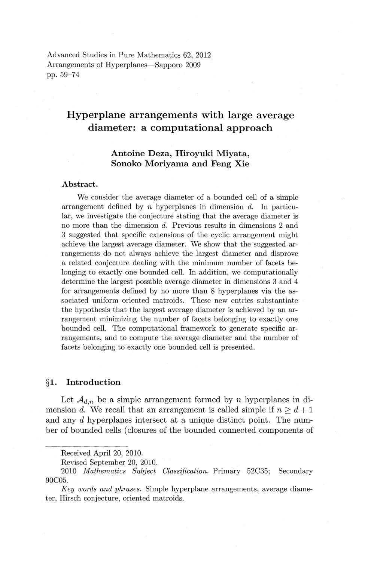Advanced Studies in Pure Mathematics 62, 2012 Arrangements of Hyperplanes-Sapporo 2009 pp. 59-74

# **Hyperplane arrangements with large average diameter: a computational approach**

# **Antoine Deza, Hiroyuki Miyata, Sonoko Moriyama and Feng Xie**

### **Abstract.**

We consider the average diameter of a bounded cell of a simple arrangement defined by *n* hyperplanes in dimension d. In particular, we investigate the conjecture stating that the average diameter is no more than the dimension *d.* Previous results in dimensions 2 and 3 suggested that specific extensions of the cyclic arrangement might achieve the largest average diameter. We show that the suggested arrangements do not always achieve the largest diameter and disprove a related conjecture dealing with the minimum number of facets belonging to exactly one bounded cell. In addition, we computationally determine the largest possible average diameter in dimensions 3 and 4 for arrangements defined by no more than 8 hyperplanes via the associated uniform oriented matroids. These new entries substantiate the hypothesis that the largest average diameter is achieved by an arrangement minimizing the number of facets belonging to exactly one bounded cell. The computational framework to generate specific arrangements, and to compute the average diameter and the number of facets belonging to exactly one bounded cell is presented.

# **§1. Introduction**

Let  $\mathcal{A}_{d,n}$  be a simple arrangement formed by *n* hyperplanes in dimension d. We recall that an arrangement is called simple if  $n \geq d+1$ and any d hyperplanes intersect at a unique distinct point. The number of bounded cells (closures of the bounded connected components of

Received April 20, 2010.

Revised September 20, 2010.

<sup>2010</sup> *Mathematics Subject Classification.* Primary 52C35; Secondary 90C05.

*Key words and phrases.* Simple hyperplane arrangements, average diameter, Hirsch conjecture, oriented matroids.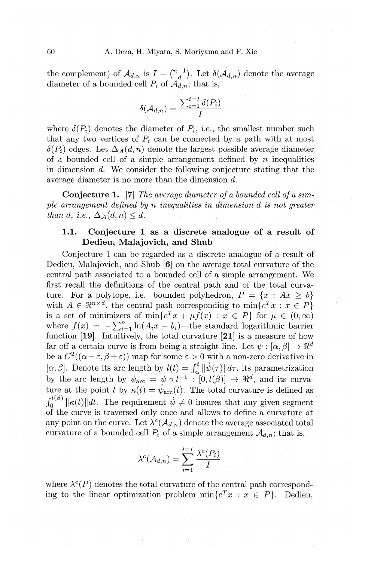the complement) of  $\mathcal{A}_{d,n}$  is  $I = \binom{n-1}{d}$ . Let  $\delta(\mathcal{A}_{d,n})$  denote the average diameter of a bounded cell  $P_i$  of  $\mathcal{A}_{d,n}$ ; that is,

$$
\delta(\mathcal{A}_{d,n})=\frac{\sum_{i=1}^{i=I}\delta(P_i)}{I}
$$

where  $\delta(P_i)$  denotes the diameter of  $P_i$ , i.e., the smallest number such that any two vertices of  $P_i$  can be connected by a path with at most  $\delta(P_i)$  edges. Let  $\Delta_A(d, n)$  denote the largest possible average diameter of a bounded cell of a simple arrangement defined by *n* inequalities in dimension d. We consider the following conjecture stating that the average diameter is no more than the dimension d.

**Conjecture 1. [7]** *The average diameter of a bounded cell of a simple arrangement defined by n inequalities in dimension d is not greater than d, i.e.,*  $\Delta$ <sub>*A</sub>* $(d, n) \leq d$ .</sub>

# **1.1. Conjecture 1** as a **discrete analogue of a result of Dedieu, Malajovich, and Shub**

Conjecture 1 can be regarded as a discrete analogue of a result of Dedieu, Malajovich, and Shub **[6]** on the average total curvature of the central path associated to a bounded cell of a simple arrangement. We first recall the definitions of the central path and of the total curvature. For a polytope, i.e. bounded polyhedron,  $P = \{x : Ax \geq b\}$ with  $A \in \mathbb{R}^{n \times d}$ , the central path corresponding to  $\min\{c^T x : x \in P\}$ is a set of minimizers of  $\min\{c^T x + \mu f(x) : x \in P\}$  for  $\mu \in (0,\infty)$ where  $f(x) = -\sum_{i=1}^{n} \ln(A_i x - b_i)$ —the standard logarithmic barrier function **[19].** Intuitively, the total curvature **[21]** is a measure of how far off a certain curve is from being a straight line. Let  $\psi : [\alpha, \beta] \to \Re^d$ be a  $C^2((\alpha-\varepsilon,\beta+\varepsilon))$  map for some  $\varepsilon > 0$  with a non-zero derivative in  $[\alpha,\beta]$ . Denote its arc length by  $l(t) = \int_{\alpha}^{t} ||\psi(\tau)|| d\tau$ , its parametrization by the arc length by  $\psi_{\text{arc}} = \psi \circ l^{-1} : [0, l(\beta)] \to \Re^d$ , and its curvature at the point *t* by  $\kappa(t) = \psi_{\text{arc}}(t)$ . The total curvature is defined as  $\int_0^{t(\rho)} \|\kappa(t)\| dt$ . The requirement  $\dot{\psi} \neq 0$  insures that any given segment of the curve is traversed only once and allows to define a curvature at any point on the curve. Let  $\lambda^c(\mathcal{A}_{d,n})$  denote the average associated total curvature of a bounded cell  $P_i$  of a simple arrangement  $A_{d,n}$ ; that is,

$$
\lambda^{c}(\mathcal{A}_{d,n}) = \sum_{i=1}^{i=I} \frac{\lambda^{c}(P_i)}{I}
$$

where  $\lambda^c(P)$  denotes the total curvature of the central path corresponding to the linear optimization problem  $\min\{c^T x : x \in P\}$ . Dedieu,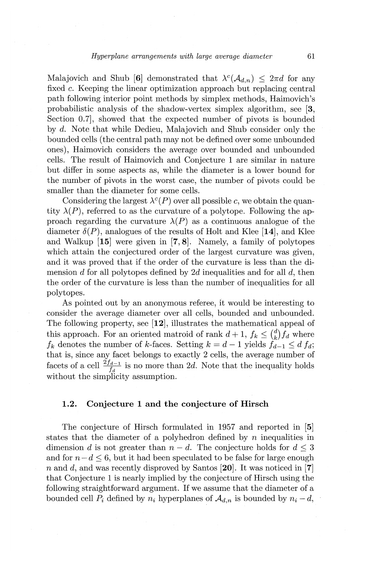Malajovich and Shub [6] demonstrated that  $\lambda^c(\mathcal{A}_{d,n}) \leq 2\pi d$  for any fixed c. Keeping the linear optimization approach but replacing central path following interior point methods by simplex methods, Haimovich's probabilistic analysis of the shadow-vertex simplex algorithm, see **[3,**  Section 0.7, showed that the expected number of pivots is bounded by d. Note that while Dedieu, Malajovich and Shub consider only the bounded cells (the central path may not be defined over some unbounded ones), Haimovich considers the average over bounded and unbounded cells. The result of Haimovich and Conjecture 1 are similar in nature but differ in some aspects as, while the diameter is a lower bound for the number of pivots in the worst case, the number of pivots could be smaller than the diameter for some cells.

Considering the largest  $\lambda^c(P)$  over all possible c, we obtain the quantity  $\lambda(P)$ , referred to as the curvature of a polytope. Following the approach regarding the curvature  $\lambda(P)$  as a continuous analogue of the diameter  $\delta(P)$ , analogues of the results of Holt and Klee [14], and Klee and Walkup **[15]** were given in **[7, 8].** Namely, a family of polytopes which attain the conjectured order of the largest curvature was given, and it was proved that if the order of the curvature is less than the dimension d for all polytopes defined by 2d inequalities and for all  $d$ , then the order of the curvature is less than the number of inequalities for all polytopes.

As pointed out by an anonymous referee, it would be interesting to consider the average diameter over all cells, bounded and unbounded. The following property, see **[12],** illustrates the mathematical appeal of this approach. For an oriented matroid of rank  $d+1$ ,  $f_k \n\t\leq {d \choose k} f_d$  where  $f_k$  denotes the number of k-faces. Setting  $k = d-1$  yields  $f_{d-1} \leq d f_d$ ; that is, since any facet belongs to exactly 2 cells, the average number of facets of a cell  $\frac{2f_{d-1}}{f_d}$  is no more than 2d. Note that the inequality holds without the simplicity assumption.

### **1.2. Conjecture 1 and the conjecture of Hirsch**

The conjecture of Hirsch formulated in 1957 and reported in **[5]**  states that the diameter of a polyhedron defined by *n* inequalities in dimension *d* is not greater than  $n - d$ . The conjecture holds for  $d \leq 3$ and for  $n-d \leq 6$ , but it had been speculated to be false for large enough *n* and d, and was recently disproved by Santos **[20].** It was noticed in **[7]**  that Conjecture 1 is nearly implied by the conjecture of Hirsch using the following straightforward argument. If we assume that the diameter of a bounded cell  $P_i$  defined by  $n_i$  hyperplanes of  $\mathcal{A}_{d,n}$  is bounded by  $n_i - d$ ,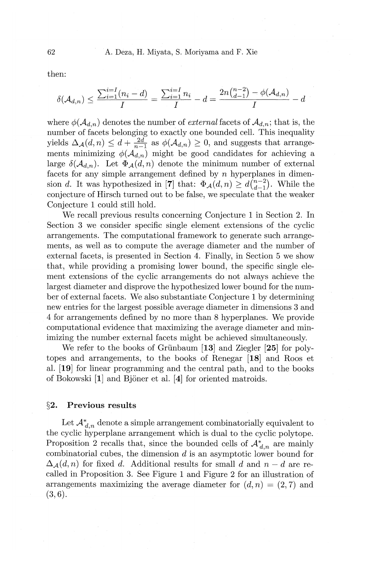then:

$$
\delta(\mathcal{A}_{d,n}) \le \frac{\sum_{i=1}^{i=1} (n_i - d)}{I} = \frac{\sum_{i=1}^{i=I} n_i}{I} - d = \frac{2n\binom{n-2}{d-1} - \phi(\mathcal{A}_{d,n})}{I} - d
$$

where  $\phi(\mathcal{A}_{d,n})$  denotes the number of *external* facets of  $\mathcal{A}_{d,n}$ ; that is, the number of facets belonging to exactly one bounded cell. This inequality yields  $\Delta_{\mathcal{A}}(d, n) \leq d + \frac{2d}{n-1}$  as  $\phi(\mathcal{A}_{d,n}) \geq 0$ , and suggests that arrangements minimizing  $\phi(\mathcal{A}_{d,n})$  might be good candidates for achieving a large  $\delta(\mathcal{A}_{d,n})$ . Let  $\Phi_{\mathcal{A}}(d,n)$  denote the minimum number of external facets for any simple arrangement defined by *n* hyperplanes in dimension d. It was hypothesized in [7] that:  $\Phi_{\mathcal{A}}(d,n) \geq d_{d-1}^{(n-2)}$ . While the conjecture of Hirsch turned out to be false, we speculate that the weaker Conjecture 1 could still hold.

We recall previous results concerning Conjecture 1 in Section 2. In Section 3 we consider specific single element extensions of the cyclic arrangements. The computational framework to generate such arrangements, as well as to compute the average diameter and the number of external facets, is presented in Section 4. Finally, in Section 5 we show that, while providing a promising lower bound, the specific single element extensions of the cyclic arrangements do not always achieve the largest diameter and disprove the hypothesized lower bound for the number of external facets. We also substantiate Conjecture 1 by determining new entries for the largest possible average diameter in dimensions 3 and 4 for arrangements defined by no more than 8 hyperplanes. We provide computational evidence that maximizing the average diameter and minimizing the number external facets might be achieved simultaneously.

We refer to the books of Griinbaum **[13]** and Ziegler **[25]** for polytopes and arrangements, to the books of Renegar **[18]** and Roos et al. **[19]** for linear programming and the central path, and to the books of Bakowski **[1]** and Bjoner et al. **[4]** for oriented matroids.

### **§2. Previous results**

Let  $A_{d,n}^*$  denote a simple arrangement combinatorially equivalent to the cyclic hyperplane arrangement which is dual to the cyclic polytope. Proposition 2 recalls that, since the bounded cells of  $A^*_{d,n}$  are mainly combinatorial cubes, the dimension  $d$  is an asymptotic lower bound for  $\Delta_{\mathcal{A}}(d, n)$  for fixed d. Additional results for small d and  $n - d$  are recalled in Proposition 3. See Figure **1** and Figure 2 for an illustration of arrangements maximizing the average diameter for  $(d, n) = (2, 7)$  and  $(3, 6).$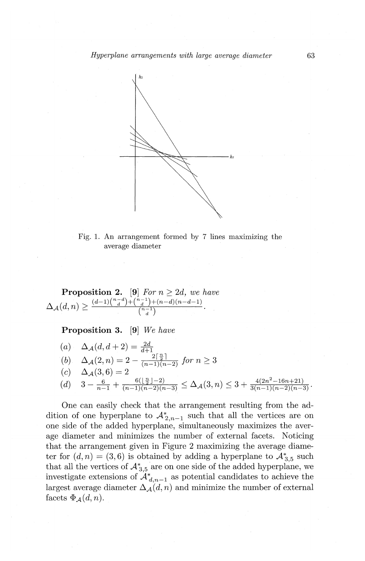

Fig. 1. An arrangement formed by 7 lines maximizing the average diameter

**Proposition 2.** [9] *For*  $n \geq 2d$ , *we have*  $\Delta_{\mathcal{A}}(d,n) \ge \frac{(d-1)\binom{n-d}{d} + \binom{n-1}{d} + (n-d)(n-d-1)}{\binom{n-1}{d}}$ 

**Proposition 3. [9]** *We have* 

(a) 
$$
\Delta_{\mathcal{A}}(d, d+2) = \frac{2d}{d+1}
$$
  
\n(b)  $\Delta_{\mathcal{A}}(2, n) = 2 - \frac{2\lceil \frac{n}{2} \rceil}{(n-1)(n-2)} \text{ for } n \ge 3$   
\n(c)  $\Delta_{\mathcal{A}}(3, 6) = 2$   
\n(d)  $3 - \frac{6}{n-1} + \frac{6(\lfloor \frac{n}{2} \rfloor - 2)}{(n-1)(n-2)(n-3)} \le \Delta_{\mathcal{A}}(3, n) \le 3 + \frac{4(2n^2 - 16n + 21)}{3(n-1)(n-2)(n-3)}$ 

One can easily check that the arrangement resulting from the addition of one hyperplane to  $A_{2,n-1}^*$  such that all the vertices are on one side of the added hyperplane, simultaneously maximizes the average diameter and minimizes the number of external facets. Noticing that the arrangement given in Figure 2 maximizing the average diameter for  $(d, n) = (3, 6)$  is obtained by adding a hyperplane to  $\mathcal{A}_{3.5}^*$  such that all the vertices of  $A_{3.5}^*$  are on one side of the added hyperplane, we investigate extensions of  $A^*_{d,n-1}$  as potential candidates to achieve the largest average diameter  $\Delta_{\mathcal{A}}(d, n)$  and minimize the number of external facets  $\Phi_{\mathcal{A}}(d, n)$ .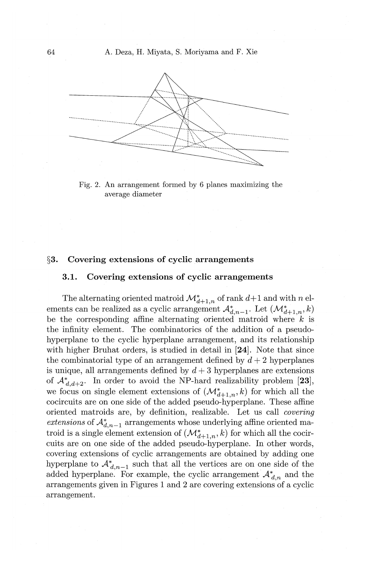

Fig. 2. An arrangement formed by 6 planes maximizing the average diameter

### **§3. Covering extensions of cyclic arrangements**

### **3.1. Covering extensions of cyclic arrangements**

The alternating oriented matroid  $\mathcal{M}^*_{d+1,n}$  of rank  $d+1$  and with *n* elements can be realized as a cyclic arrangement  $\mathcal{A}_{d,n-1}^*$ . Let  $(\mathcal{M}_{d+1,n}^*, k)$ be the corresponding affine alternating oriented matroid where *k* is the infinity element. The combinatorics of the addition of a pseudohyperplane to the cyclic hyperplane arrangement, and its relationship with higher Bruhat orders, is studied in detail in **[24].** Note that since the combinatorial type of an arrangement defined by  $d + 2$  hyperplanes is unique, all arrangements defined by  $d + 3$  hyperplanes are extensions of  $A^*_{d,d+2}$ . In order to avoid the NP-hard realizability problem [23], we focus on single element extensions of  $(\mathcal{M}^*_{d+1,n}, k)$  for which all the cocircuits are on one side of the added pseudo-hyperplane. These affine oriented matroids are, by definition, realizable. Let us call *covering extensions* of  $\mathcal{A}_{d,n-1}^*$  arrangements whose underlying affine oriented matroid is a single element extension of  $(\mathcal{M}^*_{d+1,n}, k)$  for which all the cocircuits are on one side of the added pseudo-hyperplane. In other words, covering extensions of cyclic arrangements are obtained by adding one hyperplane to  $\mathcal{A}_{d,n-1}^*$  such that all the vertices are on one side of the added hyperplane. For example, the cyclic arrangement  $A^*_{d,n}$  and the arrangements given in Figures 1 and 2 are covering extensions of a cyclic arrangement.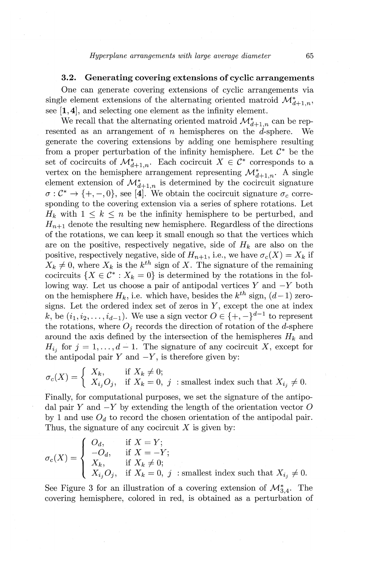# **3.2. Generating covering extensions of cyclic arrangements**

One can generate covering extensions of cyclic arrangements via single element extensions of the alternating oriented matroid  $\mathcal{M}^*_{d+1,n}$ , see **[1, 4],** and selecting one element as the infinity element.

We recall that the alternating oriented matroid  $\mathcal{M}^*_{d+1,n}$  can be represented as an arrangement of *n* hemispheres on the  $\vec{d}$ -sphere. We generate the covering extensions by adding one hemisphere resulting from a proper perturbation of the infinity hemisphere. Let  $\mathcal{C}^*$  be the set of cocircuits of  $\mathcal{M}^*_{d+1,n}$ . Each cocircuit  $X \in \mathcal{C}^*$  corresponds to a vertex on the hemisphere arrangement representing  $\mathcal{M}^*_{d+1,n}$ . A single element extension of  $\mathcal{M}^*_{d+1,n}$  is determined by the cocircuit signature  $\sigma : \mathcal{C}^* \to \{+, -, 0\}$ , see [4]. We obtain the cocircuit signature  $\sigma_c$  corresponding to the covering extension via a series of sphere rotations. Let  $H_k$  with  $1 \leq k \leq n$  be the infinity hemisphere to be perturbed, and  $H_{n+1}$  denote the resulting new hemisphere. Regardless of the directions of the rotations, we can keep it small enough so that the vertices which are on the positive, respectively negative, side of  $H_k$  are also on the positive, respectively negative, side of  $H_{n+1}$ , i.e., we have  $\sigma_c(X) = X_k$  if  $X_k \neq 0$ , where  $X_k$  is the  $k^{th}$  sign of *X*. The signature of the remaining cocircuits  $\{X \in \mathcal{C}^* : X_k = 0\}$  is determined by the rotations in the following way. Let us choose a pair of antipodal vertices  $Y$  and  $-Y$  both on the hemisphere  $H_k$ , i.e. which have, besides the  $k^{th}$  sign,  $(d-1)$  zerosigns. Let the ordered index set of zeros in *Y,* except the one at index k, be  $(i_1, i_2, \ldots, i_{d-1})$ . We use a sign vector  $O \in \{+,-\}^{d-1}$  to represent the rotations, where  $O_i$  records the direction of rotation of the d-sphere around the axis defined by the intersection of the hemispheres  $H_k$  and  $H_{i,j}$  for  $j = 1, \ldots, d-1$ . The signature of any cocircuit X, except for the antipodal pair  $Y$  and  $-Y$ , is therefore given by:

$$
\sigma_c(X) = \begin{cases} X_k, & \text{if } X_k \neq 0; \\ X_{i_j}O_j, & \text{if } X_k = 0, j \text{ : smallest index such that } X_{i_j} \neq 0. \end{cases}
$$

Finally, for computational purposes, we set the signature of the antipodal pair *Y* and  $-Y$  by extending the length of the orientation vector O by 1 and use  $O_d$  to record the chosen orientation of the antipodal pair. Thus, the signature of any cocircuit *X* is given by:

$$
\sigma_c(X) = \begin{cases} \begin{array}{ll} O_d, & \text{if } X = Y; \\ -O_d, & \text{if } X = -Y; \\ X_k, & \text{if } X_k \neq 0; \\ X_{i_j}O_j, & \text{if } X_k = 0, \ j \end{array} \end{cases} \text{: smallest index such that } X_{i_j} \neq 0.
$$

See Figure 3 for an illustration of a covering extension of  $\mathcal{M}_{3,4}^*$ . The covering hemisphere, colored in red, is obtained as a perturbation of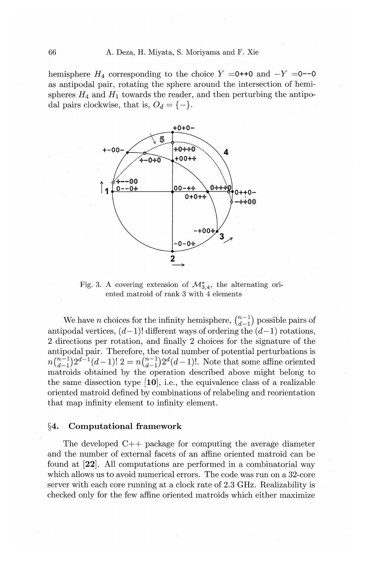hemisphere  $H_4$  corresponding to the choice  $Y = 0 + 0$  and  $-Y = 0$ -0 as antipodal pair, rotating the sphere around the intersection of hemispheres  $H_4$  and  $H_1$  towards the reader, and then perturbing the antipodal pairs clockwise, that is,  $O_d = \{-\}.$ 



Fig. 3. A covering extension of  $\mathcal{M}_{3,4}^*$ , the alternating oriented matroid of rank 3 with 4 elements

We have *n* choices for the infinity hemisphere,  $\binom{n-1}{d-1}$  possible pairs of antipodal vertices,  $(d-1)!$  different ways of ordering the  $(d-1)$  rotations, 2 directions per rotation, and finally 2 choices for the signature of the antipodal pair. Therefore, the total number of potential perturbations is  $n\binom{n-1}{d-1}2^{d-1}(d-1)!$   $2 = n\binom{n-1}{d-1}2^d(d-1)!$ . Note that some affine oriented matroids obtained by the operation described above might belong to the same dissection type **[10],** i.e., the equivalence class of a realizable oriented matroid defined by combinations of relabeling and reorientation that map infinity element to infinity element.

#### §4. **Computational framework**

The developed C++ package for computing the average diameter and the number of external facets of an affine oriented matroid can be found at **[22].** All computations are performed in a combinatorial way which allows us to avoid numerical errors. The code was run on a 32-core server with each core running at a clock rate of 2.3 GHz. Realizability is checked only for the few affine oriented matroids which either maximize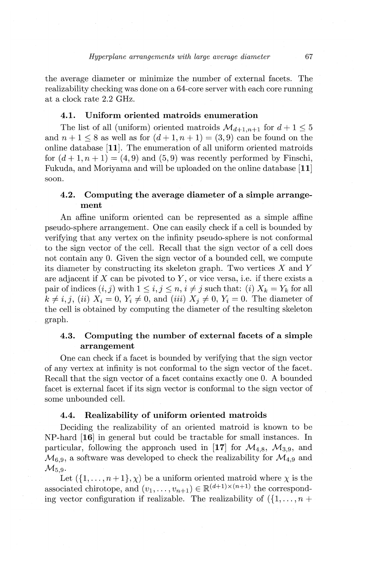the average diameter or minimize the number of external facets. The realizability checking was done on a 64-core server with each core running at a clock rate 2.2 GHz.

# **4.1. Uniform oriented matroids enumeration**

The list of all (uniform) oriented matroids  $\mathcal{M}_{d+1,n+1}$  for  $d+1 \leq 5$ and  $n + 1 \le 8$  as well as for  $(d + 1, n + 1) = (3, 9)$  can be found on the online database **[11].** The enumeration of all uniform oriented matroids for  $(d+1, n+1) = (4, 9)$  and  $(5, 9)$  was recently performed by Finschi, Fukuda, and Moriyama and will be uploaded on the online database **[11]**  soon.

# **4.2. Computing the average diameter of a simple arrangement**

An affine uniform oriented can be represented as a simple affine pseudo-sphere arrangement. One can easily check if a cell is bounded by verifying that any vertex on the infinity pseudo-sphere is not conformal to the sign vector of the cell. Recall that the sign vector of a cell does not contain any 0. Given the sign vector of a bounded cell, we compute its diameter by constructing its skeleton graph. Two vertices  $X$  and  $Y$ are adjacent if *X* can be pivoted *toY,* or vice versa, i.e. if there exists a pair of indices  $(i, j)$  with  $1 \leq i, j \leq n, i \neq j$  such that: (i)  $X_k = Y_k$  for all  $k \neq i, j$ , (ii)  $X_i = 0, Y_i \neq 0$ , and (iii)  $X_j \neq 0, Y_i = 0$ . The diameter of the cell is obtained by computing the diameter of the resulting skeleton graph.

# **4.3. Computing the number of external facets of a simple arrangement**

One can check if a facet is bounded by verifying that the sign vector of any vertex at infinity is not conformal to the sign vector of the facet. Recall that the sign vector of a facet contains exactly one 0. A bounded facet is external facet if its sign vector is conformal to the sign vector of some unbounded cell.

### **4.4. Realizability of uniform oriented matroids**

Deciding the realizability of an oriented matroid is known to be NP-hard **[16]** in general but could be tractable for small instances. In particular, following the approach used in [17] for  $\mathcal{M}_{4,8}$ ,  $\mathcal{M}_{3,9}$ , and  $M_{6,9}$ , a software was developed to check the realizability for  $M_{4,9}$  and  $\mathcal{M}_{5.9}$ .

Let  $({1, \ldots, n+1}, \chi)$  be a uniform oriented matroid where  $\chi$  is the associated chirotope, and  $(v_1, \ldots, v_{n+1}) \in \mathbb{R}^{(d+1)\times(n+1)}$  the corresponding vector configuration if realizable. The realizability of  $( \{1, \ldots, n + \} )$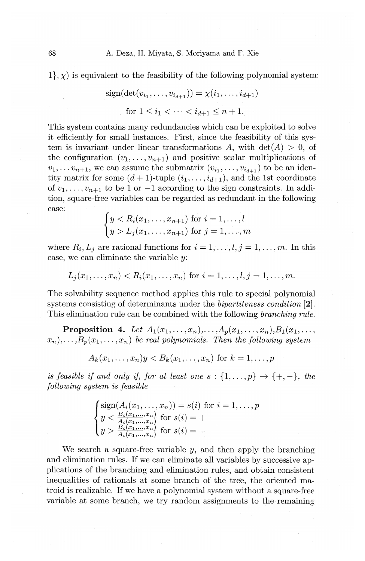$1$ ,  $\chi$ ) is equivalent to the feasibility of the following polynomial system:

$$
sign(det(v_{i_1},...,v_{i_{d+1}})) = \chi(i_1,...,i_{d+1})
$$
  
for  $1 \le i_1 < \cdots < i_{d+1} \le n+1$ .

This system contains many redundancies which can be exploited to solve it efficiently for small instances. First, since the feasibility of this system is invariant under linear transformations A, with  $\det(A) > 0$ , of the configuration  $(v_1, \ldots, v_{n+1})$  and positive scalar multiplications of  $v_1, \ldots v_{n+1}$ , we can assume the submatrix  $(v_{i_1}, \ldots, v_{i_{d+1}})$  to be an identity matrix for some  $(d+1)$ -tuple  $(i_1, \ldots, i_{d+1})$ , and the 1st coordinate of  $v_1, \ldots, v_{n+1}$  to be 1 or  $-1$  according to the sign constraints. In addition, square-free variables can be regarded as redundant in the following case:

$$
\begin{cases} y < R_i(x_1, \dots, x_{n+1}) \text{ for } i = 1, \dots, l \\ y > L_j(x_1, \dots, x_{n+1}) \text{ for } j = 1, \dots, m \end{cases}
$$

where  $R_i, L_j$  are rational functions for  $i = 1, \ldots, l, j = 1, \ldots, m$ . In this case, we can eliminate the variable *y:* 

$$
L_i(x_1,...,x_n) < R_i(x_1,...,x_n)
$$
 for  $i = 1,...,l, j = 1,...,m$ .

The solvability sequence method applies this rule to special polynomial systems consisting of determinants under the *bipartiteness condition* **[2].**  This elimination rule can be combined with the following *branching rule.* 

**Proposition 4.** *Let*  $A_1(x_1,...,x_n),..., A_p(x_1,...,x_n), B_1(x_1,...,x_n)$  $(x_n), \ldots, B_p(x_1, \ldots, x_n)$  be real polynomials. Then the following system

$$
A_k(x_1,\ldots,x_n)y < B_k(x_1,\ldots,x_n) \text{ for } k=1,\ldots,p
$$

*is feasible if and only if, for at least one s* : { $1, ..., p$ }  $\rightarrow$  { $+, -$ }, *the following system is feasible* 

$$
\begin{cases}\n\text{sign}(A_i(x_1, \ldots, x_n)) = s(i) \text{ for } i = 1, \ldots, p \\
y < \frac{B_i(x_1, \ldots, x_n)}{A_i(x_1, \ldots, x_n)} \text{ for } s(i) = + \\
y > \frac{B_i(x_1, \ldots, x_n)}{A_i(x_1, \ldots, x_n)} \text{ for } s(i) = -\n\end{cases}
$$

We search a square-free variable  $y$ , and then apply the branching and elimination rules. If we can eliminate all variables by successive applications of the branching and elimination rules, and obtain consistent inequalities of rationals at some branch of the tree, the oriented matroid is realizable. If we have a polynomial system without a square-free variable at some branch, we try random assignments to the remaining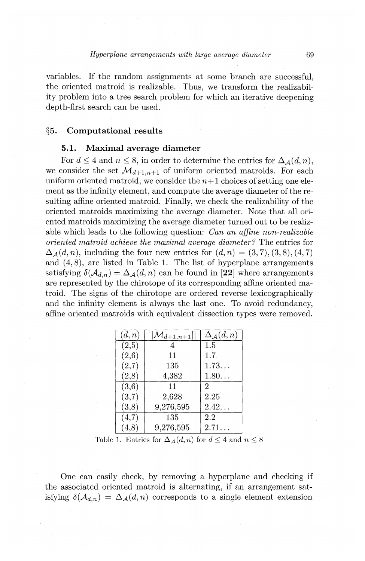variables. If the random assignments at some branch are successful, the oriented matroid is realizable. Thus, we transform the realizability problem into a tree search problem for which an iterative deepening depth-first search can be used.

### §5. Computational results

# 5.1. Maximal average diameter

For  $d \leq 4$  and  $n \leq 8$ , in order to determine the entries for  $\Delta_{\mathcal{A}}(d, n)$ , we consider the set  $\mathcal{M}_{d+1,n+1}$  of uniform oriented matroids. For each uniform oriented matroid, we consider the  $n+1$  choices of setting one element as the infinity element, and compute the average diameter of theresulting affine oriented matroid. Finally, we check the realizability of the oriented matroids maximizing the average diameter. Note that all oriented matroids maximizing the average diameter turned out to be realizable which leads to the following question: *Can an affine non-realizable oriented matroid achieve the maximal average diameter?* The entries for  $\Delta_{\mathcal{A}}(d, n)$ , including the four new entries for  $(d, n) = (3, 7), (3, 8), (4, 7)$ and  $(4, 8)$ , are listed in Table 1. The list of hyperplane arrangements satisfying  $\delta(A_{d,n}) = \Delta_{\mathcal{A}}(d,n)$  can be found in [22] where arrangements are represented by the chirotope of its corresponding affine oriented matroid. The signs of the chirotope are ordered reverse lexicographically and the infinity element is always the last one. To avoid redundancy, affine oriented matroids with equivalent dissection types were removed.

| (d, n) | $ \mathcal{M}_{d+1,n+1} $ | $\Delta_{\mathcal{A}}(d,n)$ |
|--------|---------------------------|-----------------------------|
| (2,5)  |                           | $1.5\,$                     |
| (2,6)  | 11                        | 1.7                         |
| (2,7)  | 135                       | 1.73                        |
| (2,8)  | 4,382                     | $1.80\ldots$                |
| (3,6)  | 11                        | 2                           |
| (3,7)  | 2,628                     | 2.25                        |
| (3,8)  | 9,276,595                 | $2.42\dots$                 |
| (4,7)  | 135                       | 2.2                         |
|        | 9,276,595                 | $2.71\dots$                 |

Table 1. Entries for  $\Delta_{\mathcal{A}}(d, n)$  for  $d \leq 4$  and  $n \leq 8$ 

One can easily check, by removing a hyperplane and checking if the associated oriented matroid is alternating, if an arrangement satisfying  $\delta(A_{d,n}) = \Delta_{\mathcal{A}}(d,n)$  corresponds to a single element extension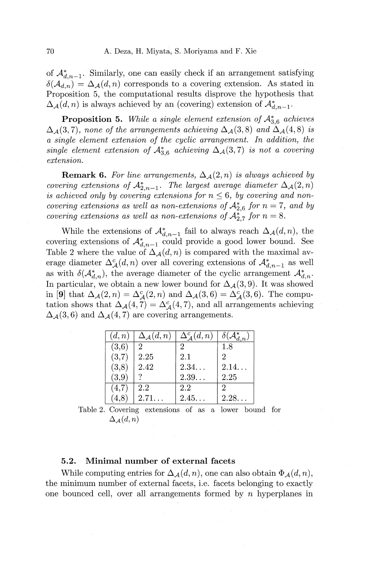of  $\mathcal{A}_{d,n-1}^*$ . Similarly, one can easily check if an arrangement satisfying  $\delta(A_{d,n}) = \Delta_{\mathcal{A}}(d,n)$  corresponds to a covering extension. As stated in Proposition 5, the computational results disprove the hypothesis that  $\Delta_{\mathcal{A}}(d,n)$  is always achieved by an (covering) extension of  $\mathcal{A}_{d,n-1}^*$ .

**Proposition 5.** While a single element extension of  $A_{3.6}^*$  achieves  $\Delta_{\mathcal{A}}(3,7)$ , *none of the arrangements achieving*  $\Delta_{\mathcal{A}}(3,8)$  *and*  $\Delta_{\mathcal{A}}(4,8)$  *is a single element extension of the cyclic arrangement. In addition, the single element extension of*  $A_{3,6}^*$  *achieving*  $\Delta_{\mathcal{A}}(3,7)$  *is not a covering extension.* 

**Remark 6.** For line arrangements,  $\Delta_{\mathcal{A}}(2,n)$  is always achieved by *covering extensions of*  $A_{2,n-1}^*$ . *The largest average diameter*  $\Delta_{\mathcal{A}}(2,n)$ is achieved only by covering extensions for  $n \leq 6$ , by covering and non*covering extensions as well as non-extensions of*  $A_{2.6}^*$  *for*  $n = 7$ *, and by covering extensions as well as non-extensions of*  $A_{2.7}^*$  *for*  $n = 8$ .

While the extensions of  $\mathcal{A}_{d,n-1}^*$  fail to always reach  $\Delta_{\mathcal{A}}(d,n)$ , the covering extensions of  $\mathcal{A}_{d,n-1}^*$  could provide a good lower bound. See Table 2 where the value of  $\Delta_{\mathcal{A}}(d, n)$  is compared with the maximal average diameter  $\Delta^c_{\mathcal{A}}(d,n)$  over all covering extensions of  $\mathcal{A}^*_{d,n-1}$  as well as with  $\delta(A_{d,n}^*)$ , the average diameter of the cyclic arrangement  $A_{d,n}^*$ . In particular, we obtain a new lower bound for  $\Delta_{\mathcal{A}}(3,9)$ . It was showed in [9] that  $\Delta_{\mathcal{A}}(2,n) = \Delta_{\mathcal{A}}^c(2,n)$  and  $\Delta_{\mathcal{A}}(3,6) = \Delta_{\mathcal{A}}^c(3,6)$ . The computation shows that  $\Delta_{\mathcal{A}}(4,7) = \Delta_{\mathcal{A}}^{c}(4,7)$ , and all arrangements achieving  $\Delta_{\mathcal{A}}(3,6)$  and  $\Delta_{\mathcal{A}}(4,7)$  are covering arrangements.

| (d, n) | $\Delta_{\mathcal{A}}(d,n)$ | $\Delta^c_A(d,n)$ | $\delta(\overline{\mathcal{A}^*_{d,n}})$ |
|--------|-----------------------------|-------------------|------------------------------------------|
| (3,6)  | 2                           | 2                 | 1.8                                      |
| (3,7)  | 2.25                        | 2.1               |                                          |
| (3,8)  | 2.42                        | 2.34              | 2.14                                     |
| (3,9)  |                             | 2.39              | 2.25                                     |
| (4,7)  | 2.2                         | 2.2               | 2                                        |
| 4,8    | 2.71.                       | 2.45              | 2.28                                     |

Table 2. Covering extensions of as a lower bound for  $\Delta_{\mathcal{A}}(d,n)$ 

# 5.2. Minimal number of external facets

While computing entries for  $\Delta_{\mathcal{A}}(d, n)$ , one can also obtain  $\Phi_{\mathcal{A}}(d, n)$ , the minimum number of external facets, i.e. facets belonging to exactly one bounced cell, over all arrangements formed by *n* hyperplanes in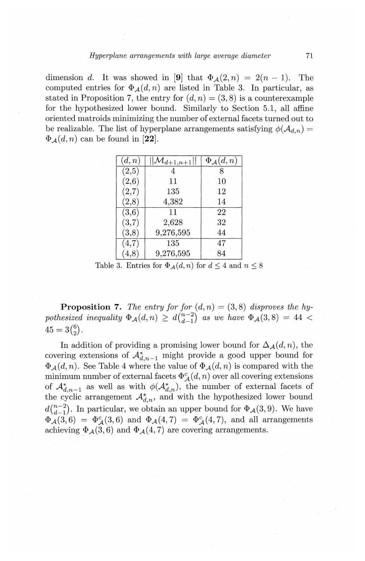dimension *d*. It was showed in [9] that  $\Phi_{\mathcal{A}}(2,n) = 2(n-1)$ . The computed entries for  $\Phi_A(d, n)$  are listed in Table 3. In particular, as stated in Proposition 7, the entry for  $(d, n) = (3, 8)$  is a counterexample for the hypothesized lower bound. Similarly to Section 5.1, all affine oriented matroids minimizing the number of external facets turned out to be realizable. The list of hyperplane arrangements satisfying  $\phi(\mathcal{A}_{d,n}) =$  $\Phi_A(d,n)$  can be found in [22].

| (d,n) | $\mathcal{M}_{d+1,n+1}$ | $\Phi_{\mathcal{A}}(d,n)$ |
|-------|-------------------------|---------------------------|
| (2,5) |                         |                           |
| (2,6) | 11                      | 10                        |
| (2,7) | 135                     | 12                        |
| (2,8) | 4,382                   | 14                        |
| (3,6) | 11                      | 22                        |
| (3,7) | 2,628                   | 32                        |
| (3,8) | 9,276,595               | 44                        |
| (4,7) | 135                     | 47                        |
|       | 9,276,595               | 84                        |

Table 3. Entries for  $\Phi_{\mathcal{A}}(d, n)$  for  $d \leq 4$  and  $n \leq 8$ .

**Proposition 7.** The entry for for  $(d, n) = (3, 8)$  disproves the hypothesized inequality  $\Phi_{\mathcal{A}}(d, n) \geq d\binom{n-2}{d-1}$  *as we have*  $\Phi_{\mathcal{A}}(3, 8) = 44$  <  $45 = 3{6 \choose 2}.$ 

In addition of providing a promising lower bound for  $\Delta_{\mathcal{A}}(d, n)$ , the covering extensions of  $\mathcal{A}_{d,n-1}^*$  might provide a good upper bound for  $\Phi_A(d, n)$ . See Table 4 where the value of  $\Phi_A(d, n)$  is compared with the minimum number of external facets  $\Phi_{\mathcal{A}}^c(d, n)$  over all covering extensions of  $\mathcal{A}_{d,n-1}^*$  as well as with  $\phi(\mathcal{A}_{d,n}^*)$ , the number of external facets of the cyclic arrangement  $A^*_{d,n}$ , and with the hypothesized lower bound  $d\binom{n-2}{d-1}$ . In particular, we obtain an upper bound for  $\Phi_{\mathcal{A}}(3,9)$ . We have  $\Phi_{\mathcal{A}}(3,6) = \Phi_{\mathcal{A}}^c(3,6)$  and  $\Phi_{\mathcal{A}}(4,7) = \Phi_{\mathcal{A}}^c(4,7)$ , and all arrangements achieving  $\Phi_{\mathcal{A}}(3,6)$  and  $\Phi_{\mathcal{A}}(4,7)$  are covering arrangements.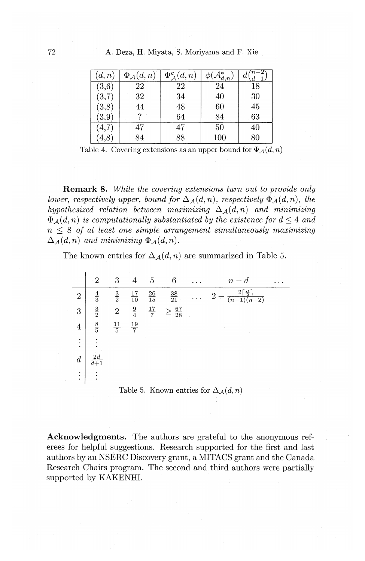| 72 |  |  |  |  |  | A. Deza, H. Miyata, S. Moriyama and F. Xie |  |  |  |
|----|--|--|--|--|--|--------------------------------------------|--|--|--|
|----|--|--|--|--|--|--------------------------------------------|--|--|--|

| (d,n)               | $\Phi_{\mathcal{A}}(d,n)$ | $\Phi^c_A(d,n)$ | $\mathcal{A}_{d,n}$ |    |
|---------------------|---------------------------|-----------------|---------------------|----|
| $\left( 3,6\right)$ | 22                        | 22              | 24                  | 18 |
| (3,7)               | 32                        | 34              | 40                  | 30 |
| (3,8)               | 44                        | 48              | 60                  | 45 |
| (3,9)               |                           | 64              | 84                  | 63 |
| 4,7                 | 47                        | 47              | 50                  | 40 |
| 4,8                 | 34                        | 88              | 100                 | 80 |

Table 4. Covering extensions as an upper bound for  $\Phi_{\mathcal{A}}(d, n)$ 

**Remark 8.** *While the covering extensions turn out to provide only lower, respectively upper, bound for*  $\Delta_A(d, n)$ *, respectively*  $\Phi_A(d, n)$ *, the hypothesized relation between maximizing*  $\Delta_{\mathcal{A}}(d, n)$  *and minimizing*  $\Phi_A(d, n)$  *is computationally substantiated by the existence for*  $d \leq 4$  *and*  $n \leq 8$  *of at least one simple arrangement simultaneously maximizing*  $\Delta_A(d, n)$  *and minimizing*  $\Phi_A(d, n)$ .

The known entries for  $\Delta_{\mathcal{A}}(d, n)$  are summarized in Table 5.

|                  | 2             | 3              |                 | 5               | 6                          |            | $n-d$                                        |        |
|------------------|---------------|----------------|-----------------|-----------------|----------------------------|------------|----------------------------------------------|--------|
| $\boldsymbol{2}$ | $\frac{4}{3}$ | $\frac{3}{2}$  | $\frac{17}{10}$ | $\frac{26}{15}$ | $\frac{38}{21}$            |            | $2\lceil \frac{n}{2} \rceil$<br>9<br>$(n-2)$ |        |
| 3                | $\frac{3}{2}$ | $\sqrt{2}$     | $\frac{9}{4}$   | $\frac{17}{7}$  | $\geq \frac{67}{28}$       |            |                                              | $\sim$ |
| $\overline{4}$   | $\frac{8}{5}$ | $\frac{11}{5}$ | $rac{19}{7}$    |                 |                            |            | $\sim$<br>$\sim$<br>$\sim$                   |        |
| ٠                |               |                |                 | $\alpha$        | $\sim 100$                 | $\sim$     | the company of the company of                |        |
|                  |               |                |                 |                 | $\sim$<br>$\sim$<br>$\sim$ |            | $\sim 10^7$                                  |        |
| ٠                |               |                |                 |                 | control of                 | $\epsilon$ |                                              |        |

Table 5. Known entries for  $\Delta_{\mathcal{A}}(d, n)$ 

**Acknowledgments.** The authors are grateful to the anonymous referees for helpful suggestions. Research supported for the first and last authors by an NSERC Discovery grant, a MITACS grant and the Canada Research Chairs program. The second and third authors were partially supported by KAKENHI.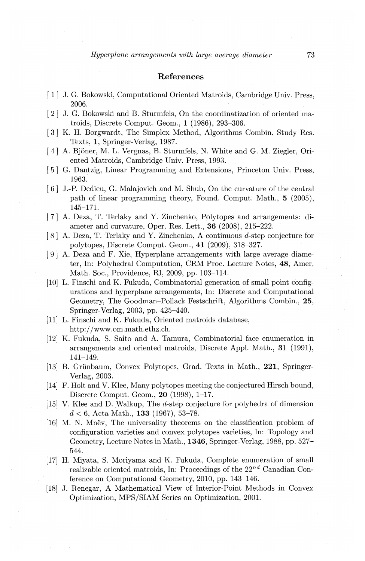### References

- [ 1] J. G. Bakowski, Computational Oriented Matroids, Cambridge Univ. Press, 2006.
- [ 2] J. G. Bakowski and B. Sturmfels, On the coordinatization of oriented matroids, Discrete Comput. Geom., 1 (1986), 293-306.
- [ 3] K. H. Borgwardt, The Simplex Method, Algorithms Combin. Study Res. Texts, 1, Springer-Verlag, 1987.
- [ 4] A. Bjoner, M. L. Vergnas, B. Sturmfels, N. White and G. M. Ziegler, Oriented Matroids, Cambridge Univ. Press, 1993.
- [5] G. Dantzig, Linear Programming and Extensions, Princeton Univ. Press, 1963.
- [ 6] J.-P. Dedieu, G. Malajovich and M. Shub, On the curvature of the central path of linear programming theory, Found. Comput. Math., 5 (2005), 145-171.
- [ 7] A. Deza, T. Terlaky and Y. Zinchenko, Polytopes and arrangements: diameter and curvature, Oper. Res. Lett., 36 (2008), 215-222.
- [ 8] A. Deza, T. Terlaky andY. Zinchenko, A continuous *d-step* conjecture for polytopes, Discrete Comput. Geom., 41 (2009), 318-327.
- [ 9] A. Deza and F. Xie, Hyperplane arrangements with large average diameter, In: Polyhedral Computation, CRM Proc. Lecture Notes, 48, Amer. Math. Soc., Providence, Rl, 2009, pp. 103-114.
- [10] L. Finschi and K. Fukuda, Combinatorial generation of small point configurations and hyperplane arrangements, In: Discrete and Computational Geometry, The Goodman-Pollack Festschrift, Algorithms Combin., 25, Springer-Verlag, 2003, pp. 425-440.
- [11] L. Finschi and K. Fukuda, Oriented matroids database, http:/ /www.om.math.ethz.ch.
- [12] K. Fukuda, S. Saito and A. Tamura, Combinatorial face enumeration in arrangements and oriented matroids, Discrete Appl. Math., 31 (1991), 141-149.
- [13] B. Griinbaum, Convex Polytopes, Grad. Texts in Math., 221, Springer-Verlag, 2003.
- [14] F. Holt and V. Klee, Many polytopes meeting the conjectured Hirsch bound, Discrete Comput. Geom., 20 (1998), 1-17.
- [15] V. Klee and D. Walkup, The d-step conjecture for polyhedra of dimension *d* < 6, Acta Math., 133 (1967), 53-78.
- [16] M. N. Mnev, The universality theorems on the classification problem of configuration varieties and convex polytopes varieties, In: Topology and Geometry, Lecture Notes in Math., 1346, Springer-Verlag, 1988, pp. 527- 544.
- [17] H. Miyata, S. Moriyama and K. Fukuda, Complete enumeration of small realizable oriented matroids, In: Proceedings of the  $22^{nd}$  Canadian Conference on Computational Geometry, 2010, pp. 143-146.
- [18] J. Renegar, A Mathematical View of Interior-Point Methods in Convex Optimization, MPS/SIAM Series on Optimization, 2001.